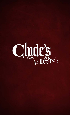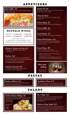## APPETIZERS

**Quesadillas \$9**

Flour tortilla filled with chipotle chicken, jalapeños, shredded cheddar and mozzarella



## BUFFALO WINGS

Bone-in: **12 wings \$12** • **6 wings \$6** Boneless: **1/2 pound \$7** • **1 pound \$12**

Choose your house-made sauce • CLASSIC BUFFALO • HONEY HABANERO • RANCH • • ASIAN SENSATION • CHIPOTLE BBQ • CHIPOTLE RANCH •

### **Chicken Tenders & Fries \$9**

1/2 pound of our golden brown chicken tenders & your choice fries

### **Nachos \$10**

Mound of tortilla chips smothered with shredded cheddar & mozzarella, melted to perfection. Topped with refried black beans, pico de gallo, garden salsa, guac & sour cream **with shredded chicken or ground beef \$13**

## **Chicken Gizzards \$8**

Large portion of golden deep-fried chicken gizzards. Served with your choice of dipping sauce.

**Family Fry \$9** Choose from our delicious original or cajun fries, an order large enough to share with your friends!

## **Chips & Salsa**

Crisp, seasoned tortilla chips with spicy garden salsa \$5 Guacamole \$8

#### **Onion Rings \$5** Battered & fried. Served with chipotle ranch dipping sauce

**Cheese Balls \$6** Half Pound \$6 | Full Pound \$11

**Fried Pickles \$7** Fried pickle spears served with chipotle ranch dipping sauce

## **Prime Rib Poutine \$11**

Diced prime rib, caramelized onions, sliced mushrooms, bleu cheese crumbles and mozzarella over french fries. Finished with beef gravy

## **Street Tacos \$9**

Wrapped in corn tortilla | Three Packs (Choose a side and make them a meal for \$2 more)

- **Steak:** seared sirloin, pico de gallo & mozzarella. Topped with chili rojo sauce
- **Shredded Chicken:** shredded chipotle chicken with mozzarella & pico de gallo . Topped with chili rojo sauce

## **Pick your pairing** Ask your server for

Clyde's wine list



PASTAS

## **Chicken Alfredo \$14**

Sautéed herb chicken tossed with creamy alfredo, penne pasta, mozzarella cheese and parmesan cheese

**Jambalaya Pasta \$15**

#### Blackened chicken breast, andouille sausage, shrimp, sautéed red onions & bell peppers. Tossed with creole sauce and penne

## SALADS

Pastas served with garlic bread or house salad

Dressings: Ranch, Bleu Cheese, French, Thousand Island • Extra dressings 50¢

## **Taco Salad \$12 Clyde's Classic Wedge \$6**

Lettuce wedge with bacon bits, heirloom tomatoes, cucumber and boiled egg. Topped with shredded cheddar, bleu cheese crumbles and your

choice of dressing

add chicken: \$3 • Grilled

• Crispy

 $\overline{\phantom{a}}$ 

• Buffalo



Tortilla shell fried to golden brown and filled with ground beef, shredded lettuce, cheddar cheese, pico de gallo, black olives. Served with sour cream and salsa, on the side **with chicken: \$13**

## **Chicken Chop Salad \$12**

Grilled or crispy chicken tossed in your choice of sauce (see sauces under Rush Werks burger). Served on a bed of shredded lettuce, pico de gallo, tortilla strips, shredded cheddar, bacon. Your choice of dressing, on the side Half \$8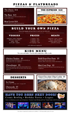# PIZZAS & FLATBREADS

I

**Choose any flavor as a flatbread or Gluten-free pizza for only \$10** 

**The Cheese \$14** Kind of self explanatory

**The Basic \$15** Double pepperoni pizza with house-made pizza sauce and mozzarella cheese

**Meat Lovers \$18** Covered with bacon, sausage, beef & pepperoni

#### Mushrooms, onions, bell peppers, black olives, sausage & pepperoni on your choice of regular or flatbread crusts THE SUPREME \$18



## BUILD YOUR OWN PIZZA

**Choose from toppings and sauces below to create your own classic pizza**

## VEGGIES

**mushrooms | onions | bell peppers black olives | green olives tomato | pickle pico de gallo | jalapeño**

### PRICES

**1 topping | \$15 2 toppings | \$16 3 toppings | \$17 4-5 toppings | \$18**

**each additional topping \$1**

**pepperoni | beef | sausage bacon | bbq chicken shredded chipotle chicken**

 **andouille sausage** 

MEATS

## KIDS MENU

**Ten years and under • Served with orange juice, milk or soda**

### **Chicken Tenders \$5**

Breaded and golden-fried chicken strips, served with your choice of fries, fruit cup or applesauce.

### **Cheeseburger \$5**

Delicious all-beef patty, topped with melted cheddar cheese. Served with pickle chips and your choice of fries, fruit cup or applesauce.

#### **Build-Your-Own Pasta \$5** Penne noodles with your choice of sauce

(marinara, alfredo, cheese sauce or butter) add chicken \$2

### **Mini Corn Dogs \$5**

Deliciously breaded mini-corn dogs. Served with fries, fruit cup or applesauce.

## DESSERTS

**Ice Cream** 1 scoop 1.00 | 2 scoops 1.50 | 3 scoops 2.00

**Cheesecake \$5**  New York style or Strawberry

I









**Check www.RushLanes.com for open bowling hours • Saturday Cosmic Bowling until 1am • Sunday Funday with \$10 unlimited cosmic**









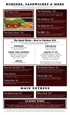## BURGERS, SANDWICHES & MORE

Served with your choice (unless otherwise indicated): original fries, cajun fries or side salad. Substitute cheese balls or onion rings for \$3 Substitute any bun for grilled sour dough, at no additional charge. Extra sauces  $50¢$ 

## **The Cajun\* \$11**

 $\overline{\phantom{a}}$ 

Our 1/2 lb burger topped with lettuce, tomato, andouille sausage, grilled red onion, jalapeños and pepper jack cheese. Finished with chipotle aioli  $(1/3$  lb burger • \$9)



## **The Clyde's Classic\* \$11**

Our 1/2 lb burger with lettuce, tomato, caramelized onions, bacon, thousand island and cheddar cheese on a house bun  $(1/3$  lb  $\cdot$  \$9)

## **The Cheeseburger\* \$10**

Our house-made burger patty served with your choice of cheese (pepper jack, cheddar, swiss or bleu cheese) with lettuce, tomato, onion and a pickle on the side(1/3 lb • \$8) **Add Bacon \$1** 

## **The Steakhouse\* \$13**

Our 1/2 lb burger topped with shaved prime rib, mushrooms, bleu cheese crumbles, lettuce, tomato, onion strings & dijonnaise (1/3 lb • \$11)

## **The Mighty Mo\* \$13**

1/2 lb burger topped with bacon, cheddar cheese, grilled red onion, dijonnaise and an over easy egg. On grilled sourdough

## **The BBQ\* \$11**

Our 1/2 lb burger topped with lettuce, tomato, chipotle bbq sauce, Swiss cheese, bacon, pickles and onions strings  $(1/3$  lb  $\cdot$  \$9)

## The Rush Werks • Beef or Chicken\* \$12

**Build your own 1/2 lb burger or grilled or crispy chicken ~ choose up to five toppings and sauces below to create your own classic gourmet sandwich. Each additional topping \$1**

#### **CHEESES**

**cheddar | swiss | shredded mozzarella pepper jack | bleu cheese**

#### FROM THE GARDEN

**caramelized onions| mushrooms | red onion black olives | onion ring | red onion jalapeños | bell pepper | black beans pickles | lettuce | tomato**

#### BREAD

**house bun | sourdough bread**

#### PROTEINS

**bacon | andouille sausage pepperoni | fried egg**

### SAUCE IT UP

**chipotle BBQ | dijonnaise | pico de gallo classic buffalo | thousand island | chipotle ranch bleu cheese | chipotle aioli | guacamole chili rojo sauce | mayo | french | ranch honey habanero | asian sensation**

**Want a smaller burger? Choose the 1/3 lb for \$10 (Not recommended to be served on sour dough)**

## **Open Face Hot Beef\* \$12**

Slow-simmered roast beef with housemade gravy and roasted garlic mashed potatoes on grilled sourdough (no additional sides)

## **Prime Dip \$14**

Slow-roasted prime rib. Topped with caramelized onions & swiss cheese on ciabatta bread. Served with au jus

## **Chicken Bowl \$8**

Garlic mashed potatoes, corn, jalapeños and chicken tenders covered with cheddar cheese and gravy

## **Shredded Beef Burrito \$11**

Simmered shredded beef, refried black beans, pico de gallo & mozzarella cheese. Topped with spicy chili rojo sauce, mozzarella & cheddar. Served with sour cream & pico de gallo (no sides)

## **Fish & Chips \$14**

You can choose any side but we suggest the fries. Comes with lemon wedge and tartar sauce (Add house salad \$3)

## MAIN ENTREES

Served with a house salad and 1 classic side

## **Top-Sirloin Steak \$15**

10 oz seasoned hand-cut top-sirloin, with your choice of two classic sides. Smothered with mushrooms & onions for an additional \$2

## **Ribeye Steak \$19**

10 oz seasoned hand-cut ribeye steak, with your choice of two classic sides. Smothered with mushrooms & onions for an additional \$2

## **ICE CLASSIC SIDES** Add an additional side to any dish for only \$3

• CHILI • HOUSE SALAD • SALT & PEPPER FRIES • GARLIC BREAD • CAJUN FRIES • ONION RINGS • • GARLIC MASHED POTATOES • LOADED MASHED POTATOES • VEGETABLE MEDLEY •

These items are cooked to order. Thoroughly cooking foods of animal origin such as beef, eggs, fish, lamb, pork, poultry OR shellfish reduces the risk of food-borne illness. Individuals with certain health conditions may be at higher risk if these foods are consumed raw or undercooked. Consult your physician or public health official for further information.